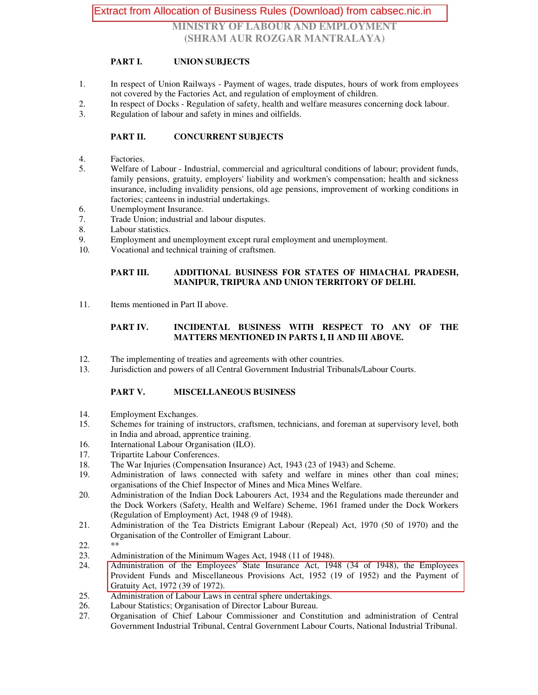# Extract from Allocation of Business Rules (Download) from cabsec.nic.in

**MINISTRY OF LABOUR AND EMPLOYMENT (SHRAM AUR ROZGAR MANTRALAYA)**

### **PART I. UNION SUBJECTS**

- 1. In respect of Union Railways Payment of wages, trade disputes, hours of work from employees not covered by the Factories Act, and regulation of employment of children.
- 2. In respect of Docks Regulation of safety, health and welfare measures concerning dock labour.
- 3. Regulation of labour and safety in mines and oilfields.

## **PART II. CONCURRENT SUBJECTS**

- 4. Factories.
- 5. Welfare of Labour Industrial, commercial and agricultural conditions of labour; provident funds, family pensions, gratuity, employers' liability and workmen's compensation; health and sickness insurance, including invalidity pensions, old age pensions, improvement of working conditions in factories; canteens in industrial undertakings.
- 6. Unemployment Insurance.
- 7. Trade Union; industrial and labour disputes.
- 8. Labour statistics.
- 9. Employment and unemployment except rural employment and unemployment.
- 10. Vocational and technical training of craftsmen.

#### **PART III. ADDITIONAL BUSINESS FOR STATES OF HIMACHAL PRADESH, MANIPUR, TRIPURA AND UNION TERRITORY OF DELHI.**

11. Items mentioned in Part II above.

### **PART IV. INCIDENTAL BUSINESS WITH RESPECT TO ANY OF THE MATTERS MENTIONED IN PARTS I, II AND III ABOVE.**

- 12. The implementing of treaties and agreements with other countries.
- 13. Jurisdiction and powers of all Central Government Industrial Tribunals/Labour Courts.

## **PART V. MISCELLANEOUS BUSINESS**

- 14. Employment Exchanges.
- 15. Schemes for training of instructors, craftsmen, technicians, and foreman at supervisory level, both in India and abroad, apprentice training.
- 16. International Labour Organisation (ILO).
- 17. Tripartite Labour Conferences.<br>18. The War Iniuries (Compensation
- The War Injuries (Compensation Insurance) Act, 1943 (23 of 1943) and Scheme.
- 19. Administration of laws connected with safety and welfare in mines other than coal mines; organisations of the Chief Inspector of Mines and Mica Mines Welfare.
- 20. Administration of the Indian Dock Labourers Act, 1934 and the Regulations made thereunder and the Dock Workers (Safety, Health and Welfare) Scheme, 1961 framed under the Dock Workers (Regulation of Employment) Act, 1948 (9 of 1948).
- 21. Administration of the Tea Districts Emigrant Labour (Repeal) Act, 1970 (50 of 1970) and the Organisation of the Controller of Emigrant Labour.
- $\frac{22}{23}$ .
- Administration of the Minimum Wages Act, 1948 (11 of 1948).
- 24. Administration of the Employees' State Insurance Act, 1948 (34 of 1948), the Employees Provident Funds and Miscellaneous Provisions Act, 1952 (19 of 1952) and the Payment of Gratuity Act, 1972 (39 of 1972).
- 25. Administration of Labour Laws in central sphere undertakings.
- 26. Labour Statistics; Organisation of Director Labour Bureau.<br>27. Organisation of Chief Labour Commissioner and Const
- 27. Organisation of Chief Labour Commissioner and Constitution and administration of Central Government Industrial Tribunal, Central Government Labour Courts, National Industrial Tribunal.